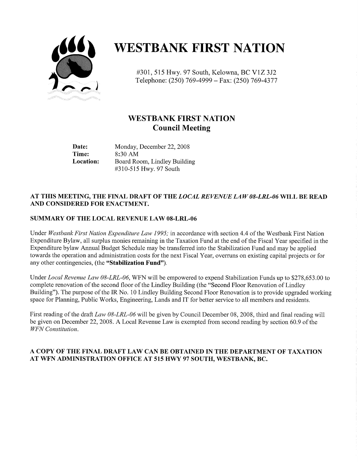

# **WESTBANK FIRST NATION**

#301, 515 Hwy. 97 South, Kelowna, BC V1Z 3J2 Telephone: (250) 769-4999 - Fax: (250) 769-4377

## WESTBANK FIRST NATION Council Meeting

Time: 8:30 AM<br>Location: Board Ro

Date: Monday, December 22, 2008<br>Time: 8:30 AM Board Room, Lindley Building 310 -515 Hwy. 97 South

#### AT THIS MEETING, THE FINAL DRAFT OF THE LOCAL REVENUE LAW 08-LRL-06 WILL BE READ AND CONSIDERED FOR ENACTMENT,

#### SUMMARY OF THE LOCAL REVENUE LAW 08-LRL-06

Under Westbank First Nation Expenditure Law 1995; in accordance with section 4.4 of the Westbank First Nation Expenditure Bylaw, all surplus monies remaining in the Taxation Fund at the end of the Fiscal Year specified in the Expenditure bylaw Annual Budget Schedule may be transferred into the Stabilization Fund and may be applied towards the operation and administration costs for the next Fiscal Year, overruns on existing capital projects or for any other contingencies, (the "Stabilization Fund").

Under Local Revenue Law 08-LRL-06, WFN will be empowered to expend Stabilization Funds up to \$278,653.00 to complete renovation of the second floor of the Lindley Building (the "Second Floor Renovation of Lindley Building"). The purpose of the IR No. 10 Lindley Building Second Floor Renovation is to provide upgraded working space for Planning, Public works, Engineering, Lands and IT for better service to all members and residents.

First reading of the draft Law 08-LRL-06 will be given by Council December 08, 2008, third and final reading will be given on December 22, 2008. A Local Revenue Law is exempted from second reading by section 60.9 of the WFN Constitution.

#### A COPY OF THE FINAL DRAFT LAW CAN BE OBTAINED IN THE DEPARTMENT OF TAXATION AT WFN ADMINISTRATION OFFICE AT 515 HWY 97 SOUTH, WESTBANK, BC.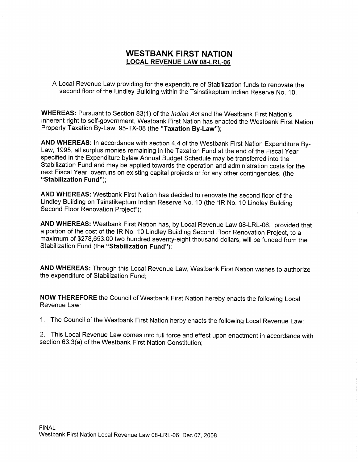### WESTBANK FIRST NATION LOCAL REVENUE LAW 08-LRL-06

A Local Revenue Law providing for the expenditure of Stabilization funds to renovate the second floor of the Lindley Building within the Tsinstikeptum Indian Reserve No. 10.

WHEREAS: Pursuant to Section 83(1) of the Indian Act and the Westbank First Nation's inherent right to self-government, Westbank First Nation has enacted the Westbank First Nation Property Taxation By-Law, 95-TX-08 (the "Taxation By-Law");

AND WHEREAS: In accordance with section 4.4 of the Westbank First Nation Expenditure By-Law, 1995, all surplus monies remaining in the Taxation Fund at the end of the Fiscal Year specified in the Expenditure bylaw Annual Budget Schedule may be transferred into the Stabilization Fund and may be applied towards the operation and administration costs for the next Fiscal Year, overruns on existing capital projects or for any other contingencies, (the "Stabilization Fund");

AND WHEREAS: Westbank First Nation has decided to renovate the second floor of the Lindley Building on Tsinstikeptum Indian Reserve No. 10 (the "IR No. <sup>10</sup> Lindley Building Second Floor Renovation Project");

AND WHEREAS: Westbank First Nation has, by Local Revenue Law 08-LRL-06, provided that a portion of the cost of the IR No. 10 Lindley Building Second Floor Renovation Project, to a maximum of \$278,653.00 two hundred seventy-eight thousand dollars, will be funded from the Stabilization Fund (the "Stabilization Fund");

AND WHEREAS: Through this Local Revenue Law, Westbank First Nation wishes to authorize the expenditure of Stabilization Fund;

NOW THEREFORE the council of Westbank First Nation hereby enacts the following Local Revenue Law:

1. The Council of the Westbank First Nation herby enacts the following Local Revenue Law:

2. This Local Revenue Law comes into full force and effect upon enactment in accordance with 1. The Council of the Westbank First Nation herby enact<br>2. This Local Revenue Law comes into full force and effe<br>section 63.3(a) of the Westbank First Nation Constitution;